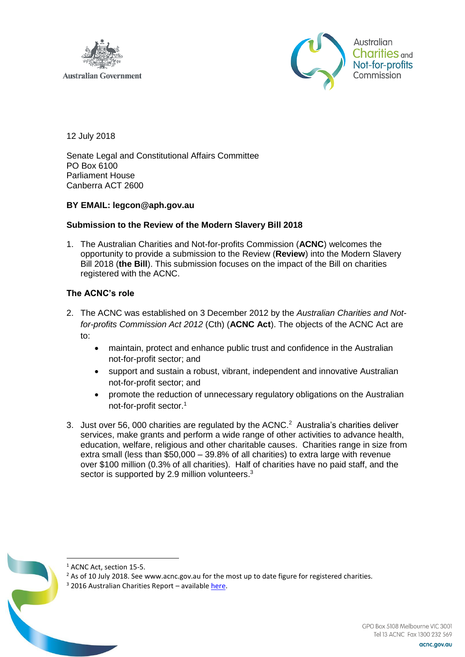

**Australian Government** 



12 July 2018

Senate Legal and Constitutional Affairs Committee PO Box 6100 Parliament House Canberra ACT 2600

# **BY EMAIL: legcon@aph.gov.au**

## **Submission to the Review of the Modern Slavery Bill 2018**

1. The Australian Charities and Not-for-profits Commission (**ACNC**) welcomes the opportunity to provide a submission to the Review (**Review**) into the Modern Slavery Bill 2018 (**the Bill**). This submission focuses on the impact of the Bill on charities registered with the ACNC.

# **The ACNC's role**

- 2. The ACNC was established on 3 December 2012 by the *Australian Charities and Notfor-profits Commission Act 2012* (Cth) (**ACNC Act**). The objects of the ACNC Act are to:
	- maintain, protect and enhance public trust and confidence in the Australian not-for-profit sector; and
	- support and sustain a robust, vibrant, independent and innovative Australian not-for-profit sector; and
	- promote the reduction of unnecessary regulatory obligations on the Australian not-for-profit sector.<sup>1</sup>
- 3. Just over 56, 000 charities are regulated by the  $ACNC<sup>2</sup>$  Australia's charities deliver services, make grants and perform a wide range of other activities to advance health, education, welfare, religious and other charitable causes. Charities range in size from extra small (less than \$50,000 – 39.8% of all charities) to extra large with revenue over \$100 million (0.3% of all charities). Half of charities have no paid staff, and the sector is supported by 2.9 million volunteers.<sup>3</sup>



<sup>1</sup> ACNC Act, section 15-5.

<sup>&</sup>lt;sup>2</sup> As of 10 July 2018. See [www.acnc.gov.au](http://www.acnc.gov.au/) for the most up to date figure for registered charities.

<sup>3</sup> 2016 Australian Charities Report – available [here.](http://australiancharities.acnc.gov.au/wp-content/uploads/2017/12/Australian-Charities-Report-2016-FINAL-20171203.pdf)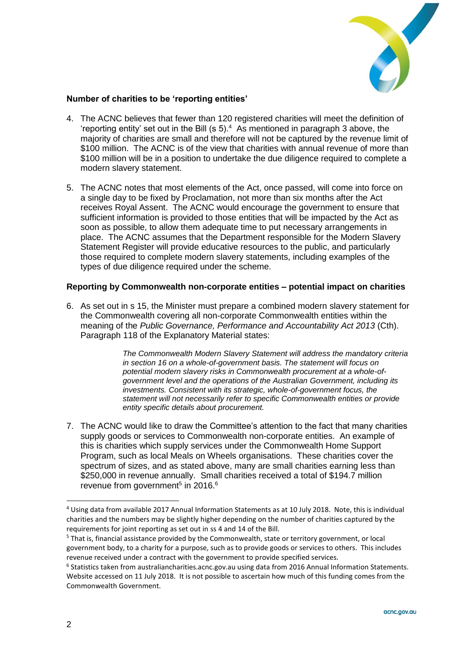

# **Number of charities to be 'reporting entities'**

- 4. The ACNC believes that fewer than 120 registered charities will meet the definition of 'reporting entity' set out in the Bill (s  $5$ ).<sup>4</sup> As mentioned in paragraph 3 above, the majority of charities are small and therefore will not be captured by the revenue limit of \$100 million. The ACNC is of the view that charities with annual revenue of more than \$100 million will be in a position to undertake the due diligence required to complete a modern slavery statement.
- 5. The ACNC notes that most elements of the Act, once passed, will come into force on a single day to be fixed by Proclamation, not more than six months after the Act receives Royal Assent. The ACNC would encourage the government to ensure that sufficient information is provided to those entities that will be impacted by the Act as soon as possible, to allow them adequate time to put necessary arrangements in place. The ACNC assumes that the Department responsible for the Modern Slavery Statement Register will provide educative resources to the public, and particularly those required to complete modern slavery statements, including examples of the types of due diligence required under the scheme.

## **Reporting by Commonwealth non-corporate entities – potential impact on charities**

6. As set out in s 15, the Minister must prepare a combined modern slavery statement for the Commonwealth covering all non-corporate Commonwealth entities within the meaning of the *Public Governance, Performance and Accountability Act 2013* (Cth). Paragraph 118 of the Explanatory Material states:

> *The Commonwealth Modern Slavery Statement will address the mandatory criteria in section 16 on a whole-of-government basis. The statement will focus on potential modern slavery risks in Commonwealth procurement at a whole-ofgovernment level and the operations of the Australian Government, including its investments. Consistent with its strategic, whole-of-government focus, the statement will not necessarily refer to specific Commonwealth entities or provide entity specific details about procurement.*

7. The ACNC would like to draw the Committee's attention to the fact that many charities supply goods or services to Commonwealth non-corporate entities. An example of this is charities which supply services under the Commonwealth Home Support Program, such as local Meals on Wheels organisations. These charities cover the spectrum of sizes, and as stated above, many are small charities earning less than \$250,000 in revenue annually. Small charities received a total of \$194.7 million revenue from government<sup>5</sup> in 2016.<sup>6</sup>

-

<sup>4</sup> Using data from available 2017 Annual Information Statements as at 10 July 2018. Note, this is individual charities and the numbers may be slightly higher depending on the number of charities captured by the requirements for joint reporting as set out in ss 4 and 14 of the Bill.

<sup>&</sup>lt;sup>5</sup> That is, financial assistance provided by the Commonwealth, state or territory government, or local government body, to a charity for a purpose, such as to provide goods or services to others. This includes revenue received under a contract with the government to provide specified services.

<sup>&</sup>lt;sup>6</sup> Statistics taken from australiancharities.acnc.gov.au using data from 2016 Annual Information Statements. Website accessed on 11 July 2018. It is not possible to ascertain how much of this funding comes from the Commonwealth Government.